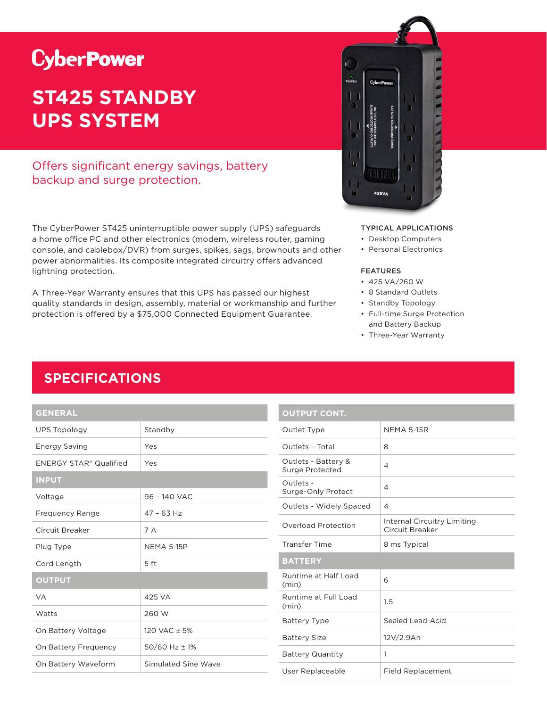# **CyberPower**

# **ST425 STANDBY UPS SYSTEM**

### Offers significant energy savings, battery backup and surge protection.

The CyberPower ST425 uninterruptible power supply (UPS) safeguards a home office PC and other electronics (modem, wireless router, gaming console, and cablebox/DVR) from surges, spikes, sags, brownouts and other power abnormalities. Its composite integrated circuitry offers advanced lightning protection.

A Three-Year Warranty ensures that this UPS has passed our highest quality standards in design, assembly, material or workmanship and further protection is offered by a \$75,000 Connected Equipment Guarantee.



#### TYPICAL APPLICATIONS

- Desktop Computers
- Personal Electronics

#### FEATURES

- 425 VA/260 W
- 8 Standard Outlets
- Standby Topology
- Full-time Surge Protection and Battery Backup
- Three-Year Warranty

## **SPECIFICATIONS**

### **GENERAL**

| <b>UPS Topology</b>    | Standby             |  |
|------------------------|---------------------|--|
| <b>Energy Saving</b>   | Yes                 |  |
| ENERGY STAR® Qualified | Yes                 |  |
| <b>INPUT</b>           |                     |  |
| Voltage                | 96 - 140 VAC        |  |
| <b>Frequency Range</b> | $47 - 63$ Hz        |  |
| Circuit Breaker        | 7 A                 |  |
| Plug Type              | <b>NEMA 5-15P</b>   |  |
| Cord Length            | 5 ft                |  |
| <b>OUTPUT</b>          |                     |  |
| <b>VA</b>              | 425 VA              |  |
| Watts                  | 260 W               |  |
| On Battery Voltage     | 120 VAC ± 5%        |  |
| On Battery Frequency   | $50/60$ Hz $\pm$ 1% |  |
| On Battery Waveform    | Simulated Sine Wave |  |

| <b>OUTPUT CONT.</b>                    |                                                |
|----------------------------------------|------------------------------------------------|
| Outlet Type                            | <b>NEMA 5-15R</b>                              |
| Outlets - Total                        | 8                                              |
| Outlets - Battery &<br>Surge Protected | 4                                              |
| Outlets -<br>Surge-Only Protect        | 4                                              |
| Outlets - Widely Spaced                | 4                                              |
| Overload Protection                    | Internal Circuitry Limiting<br>Circuit Breaker |
| <b>Transfer Time</b>                   | 8 ms Typical                                   |
| <b>BATTERY</b>                         |                                                |
| Runtime at Half Load<br>(min)          | 6                                              |
| Runtime at Full Load<br>(min)          | 1.5                                            |
| <b>Battery Type</b>                    | Sealed Lead-Acid                               |
| <b>Battery Size</b>                    | 12V/2.9Ah                                      |
| <b>Battery Quantity</b>                | 1                                              |
| User Replaceable                       | <b>Field Replacement</b>                       |